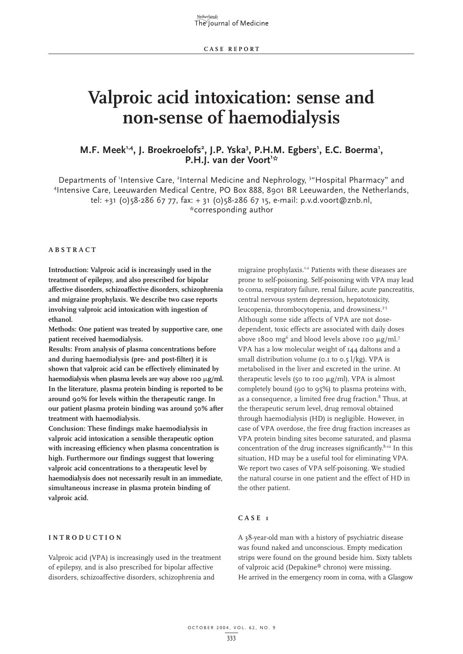# **Valproic acid intoxication: sense and non-sense of haemodialysis**

# M.F. Meek<sup>1,4</sup>, J. Broekroelofs<sup>2</sup>, J.P. Yska<sup>3</sup>, P.H.M. Egbers<sup>1</sup>, E.C. Boerma<sup>1</sup>,<br>P.H.J. van der Voort<sup>13:</sup> **P.H.J.** van der Voort<sup>1</sup>\*

Departments of 'Intensive Care, <sup>2</sup>Internal Medicine and Nephrology, <sup>3</sup>"Hospital Pharmacy" and 4 Intensive Care, Leeuwarden Medical Centre, PO Box 888, 8901 BR Leeuwarden, the Netherlands, tel: +31 (0)58-286 67 77, fax: + 31 (0)58-286 67 15, e-mail: p.v.d.voort@znb.nl, \*corresponding author

#### **ABSTRACT**

**Introduction: Valproic acid is increasingly used in the treatment of epilepsy, and also prescribed for bipolar affective disorders, schizoaffective disorders, schizophrenia and migraine prophylaxis. We describe two case reports involving valproic acid intoxication with ingestion of ethanol.** 

**Methods: One patient was treated by supportive care, one patient received haemodialysis.** 

**Results: From analysis of plasma concentrations before and during haemodialysis (pre- and post-filter) it is shown that valproic acid can be effectively eliminated by** haemodialysis when plasma levels are way above 100  $\mu$ g/ml. **In the literature, plasma protein binding is reported to be around 90% for levels within the therapeutic range. In our patient plasma protein binding was around 50% after treatment with haemodialysis.** 

**Conclusion: These findings make haemodialysis in valproic acid intoxication a sensible therapeutic option with increasing efficiency when plasma concentration is high. Furthermore our findings suggest that lowering valproic acid concentrations to a therapeutic level by haemodialysis does not necessarily result in an immediate, simultaneous increase in plasma protein binding of valproic acid.**

#### **INTRODUCTION**

Valproic acid (VPA) is increasingly used in the treatment of epilepsy, and is also prescribed for bipolar affective disorders, schizoaffective disorders, schizophrenia and

migraine prophylaxis.1,2 Patients with these diseases are prone to self-poisoning. Self-poisoning with VPA may lead to coma, respiratory failure, renal failure, acute pancreatitis, central nervous system depression, hepatotoxicity, leucopenia, thrombocytopenia, and drowsiness.<sup>3-5</sup> Although some side affects of VPA are not dosedependent, toxic effects are associated with daily doses above 1800 mg<sup>6</sup> and blood levels above 100  $\mu$ g/ml.<sup>7</sup> VPA has a low molecular weight of 144 daltons and a small distribution volume (0.1 to 0.5 l/kg). VPA is metabolised in the liver and excreted in the urine. At therapeutic levels (50 to 100  $\mu$ g/ml), VPA is almost completely bound (90 to 95%) to plasma proteins with, as a consequence, a limited free drug fraction.<sup>8</sup> Thus, at the therapeutic serum level, drug removal obtained through haemodialysis (HD) is negligible. However, in case of VPA overdose, the free drug fraction increases as VPA protein binding sites become saturated, and plasma concentration of the drug increases significantly.<sup>8-10</sup> In this situation, HD may be a useful tool for eliminating VPA. We report two cases of VPA self-poisoning. We studied the natural course in one patient and the effect of HD in the other patient.

## **CASE 1**

A 38-year-old man with a history of psychiatric disease was found naked and unconscious. Empty medication strips were found on the ground beside him. Sixty tablets of valproic acid (Depakine® chrono) were missing. He arrived in the emergency room in coma, with a Glasgow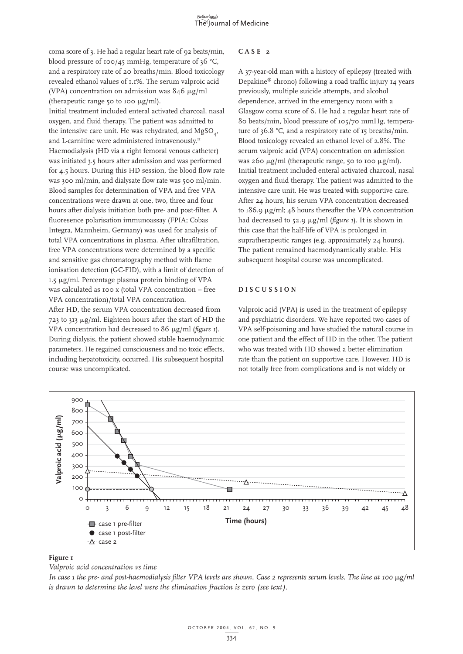coma score of 3. He had a regular heart rate of 92 beats/min, blood pressure of 100/45 mmHg, temperature of 36 °C, and a respiratory rate of 20 breaths/min. Blood toxicology revealed ethanol values of 1.1%. The serum valproic acid (VPA) concentration on admission was  $846 \mu g/ml$ (therapeutic range 50 to 100  $\mu$ g/ml).

Initial treatment included enteral activated charcoal, nasal oxygen, and fluid therapy. The patient was admitted to the intensive care unit. He was rehydrated, and MgSO<sub>,</sub> and L-carnitine were administered intravenously.<sup>11</sup> Haemodialysis (HD via a right femoral venous catheter) was initiated 3.5 hours after admission and was performed for 4.5 hours. During this HD session, the blood flow rate was 300 ml/min, and dialysate flow rate was 500 ml/min. Blood samples for determination of VPA and free VPA concentrations were drawn at one, two, three and four hours after dialysis initiation both pre- and post-filter. A fluoresence polarisation immunoassay (FPIA; Cobas Integra, Mannheim, Germany) was used for analysis of total VPA concentrations in plasma. After ultrafiltration, free VPA concentrations were determined by a specific and sensitive gas chromatography method with flame ionisation detection (GC-FID), with a limit of detection of 1.5 µg/ml. Percentage plasma protein binding of VPA was calculated as 100 x (total VPA concentration – free VPA concentration)/total VPA concentration. After HD, the serum VPA concentration decreased from  $723$  to  $313 \mu g/ml$ . Eighteen hours after the start of HD the VPA concentration had decreased to 86 µg/ml (*figure 1*). During dialysis, the patient showed stable haemodynamic parameters. He regained consciousness and no toxic effects, including hepatotoxicity, occurred. His subsequent hospital course was uncomplicated.

## **CASE 2**

A 37-year-old man with a history of epilepsy (treated with Depakine® chrono) following a road traffic injury 14 years previously, multiple suicide attempts, and alcohol dependence, arrived in the emergency room with a Glasgow coma score of 6. He had a regular heart rate of 80 beats/min, blood pressure of 105/70 mmHg, temperature of 36.8 °C, and a respiratory rate of 15 breaths/min. Blood toxicology revealed an ethanol level of 2.8%. The serum valproic acid (VPA) concentration on admission was 260  $\mu$ g/ml (therapeutic range, 50 to 100  $\mu$ g/ml). Initial treatment included enteral activated charcoal, nasal oxygen and fluid therapy. The patient was admitted to the intensive care unit. He was treated with supportive care. After 24 hours, his serum VPA concentration decreased to  $186.9 \mu g/ml$ ;  $48 \text{ hours}$  thereafter the VPA concentration had decreased to 52.9  $\mu$ g/ml (*figure 1*). It is shown in this case that the half-life of VPA is prolonged in supratherapeutic ranges (e.g. approximately 24 hours). The patient remained haemodynamically stable. His subsequent hospital course was uncomplicated.

## **DISCUSSION**

Valproic acid (VPA) is used in the treatment of epilepsy and psychiatric disorders. We have reported two cases of VPA self-poisoning and have studied the natural course in one patient and the effect of HD in the other. The patient who was treated with HD showed a better elimination rate than the patient on supportive care. However, HD is not totally free from complications and is not widely or



#### **Figure 1**

*Valproic acid concentration vs time* 

*In case 1 the pre- and post-haemodialysis filter VPA levels are shown. Case 2 represents serum levels. The line at 100*  $\mu$ *g/ml is drawn to determine the level were the elimination fraction is zero (see text).*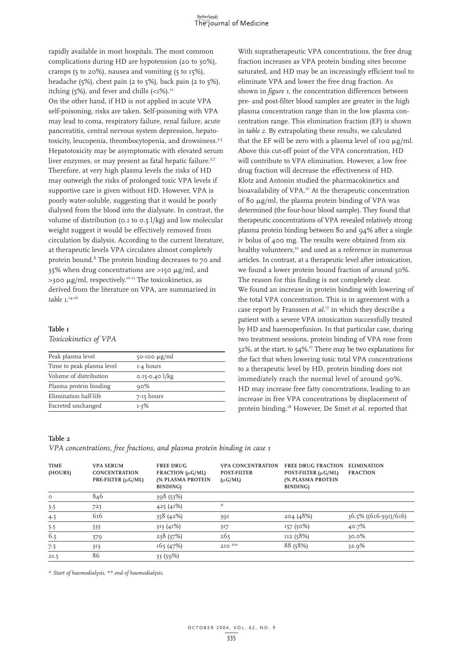rapidly available in most hospitals. The most common complications during HD are hypotension (20 to 30%), cramps (5 to 20%), nausea and vomiting (5 to 15%), headache (5%), chest pain (2 to 5%), back pain (2 to 5%), itching (5%), and fever and chills  $(<1\%)$ .<sup>12</sup> On the other hand, if HD is not applied in acute VPA self-poisoning, risks are taken. Self-poisoning with VPA may lead to coma, respiratory failure, renal failure, acute pancreatitis, central nervous system depression, hepatotoxicity, leucopenia, thrombocytopenia, and drowsiness.<sup>3-5</sup> Hepatotoxicity may be asymptomatic with elevated serum liver enzymes, or may present as fatal hepatic failure.<sup>5,7</sup> Therefore, at very high plasma levels the risks of HD may outweigh the risks of prolonged toxic VPA levels if supportive care is given without HD. However, VPA is poorly water-soluble, suggesting that it would be poorly dialysed from the blood into the dialysate. In contrast, the volume of distribution (0.1 to 0.5 l/kg) and low molecular weight suggest it would be effectively removed from circulation by dialysis. According to the current literature, at therapeutic levels VPA circulates almost completely protein bound.8 The protein binding decreases to 70 and  $35\%$  when drug concentrations are >150  $\mu$ g/ml, and  $>$ 300 µg/ml, respectively.<sup>10,13</sup> The toxicokinetics, as derived from the literature on VPA, are summarised in *table 1*. 14-16

# **Table 1**

# *Toxicokinetics of VPA*

| Peak plasma level         | $50-100 \mu g/ml$  |
|---------------------------|--------------------|
| Time to peak plasma level | 1-4 hours          |
| Volume of distribution    | $0.15 - 0.40$ l/kg |
| Plasma protein binding    | $90\%$             |
| Elimination half-life     | 7-15 hours         |
| Excreted unchanged        | $1 - 3\%$          |

#### **Table 2**

*VPA concentrations, free fractions, and plasma protein binding in case 1*

| <b>TIME</b><br>(HOURS) | <b>VPA SERUM</b><br><b>CONCENTRATION</b><br>PRE-FILTER $(\mu G/ML)$ | <b>FREE DRUG</b><br>FRACTION $(\mu G/ML)$<br>(% PLASMA PROTEIN<br>BINDING) | <b>VPA CONCENTRATION</b><br><b>POST-FILTER</b><br>$(\mu G/ML)$ | <b>FREE DRUG FRACTION</b><br>POST-FILTER $(\mu G/ML)$<br>(% PLASMA PROTEIN<br>BINDING) | <b>ELIMINATION</b><br><b>FRACTION</b> |
|------------------------|---------------------------------------------------------------------|----------------------------------------------------------------------------|----------------------------------------------------------------|----------------------------------------------------------------------------------------|---------------------------------------|
| $\circ$                | 846                                                                 | 398 (53%)                                                                  |                                                                |                                                                                        |                                       |
| 3.5                    | 723                                                                 | 425 (41%)                                                                  | ☆                                                              |                                                                                        |                                       |
| 4.5                    | 616                                                                 | 358(42%)                                                                   | 39I                                                            | 204(48%)                                                                               | $36.5\%$ ((616-391)/616)              |
| 5.5                    | 535                                                                 | 313(41%)                                                                   | 317                                                            | 157(50%)                                                                               | 40.7%                                 |
| 6.5                    | 379                                                                 | 238 (37%)                                                                  | 265                                                            | II2 (58%)                                                                              | $30.0\%$                              |
| 7.5                    | 313                                                                 | 165(47%)                                                                   | $210**$                                                        | 88 (58%)                                                                               | 32.9%                                 |
| 2I.5                   | 86                                                                  | 33 (59%)                                                                   |                                                                |                                                                                        |                                       |

*\* Start of haemodialysis, \*\* end of haemodialysis.*

pre- and post-filter blood samples are greater in the high plasma concentration range than in the low plasma concentration range. This elimination fraction (EF) is shown in *table 2*. By extrapolating these results, we calculated that the EF will be zero with a plasma level of 100  $\mu$ g/ml. Above this cut-off point of the VPA concentration, HD will contribute to VPA elimination. However, a low free drug fraction will decrease the effectiveness of HD. Klotz and Antonin studied the pharmacokinetics and bioavailability of VPA.<sup>10</sup> At the therapeutic concentration of 80  $\mu$ g/ml, the plasma protein binding of VPA was determined (the four-hour blood sample). They found that therapeutic concentrations of VPA revealed relatively strong plasma protein binding between 80 and 94% after a single iv bolus of 400 mg. The results were obtained from six healthy volunteers,<sup>10</sup> and used as a reference in numerous articles. In contrast, at a therapeutic level after intoxication, we found a lower protein bound fraction of around 50%. The reason for this finding is not completely clear. We found an increase in protein binding with lowering of the total VPA concentration. This is in agreement with a case report by Franssen *et al*. <sup>17</sup> in which they describe a patient with a severe VPA intoxication successfully treated by HD and haemoperfusion. In that particular case, during two treatment sessions, protein binding of VPA rose from  $32\%$ , at the start, to  $54\%$ .<sup>17</sup> There may be two explanations for the fact that when lowering toxic total VPA concentrations to a therapeutic level by HD, protein binding does not immediately reach the normal level of around 90%. HD may increase free fatty concentrations, leading to an increase in free VPA concentrations by displacement of protein binding.18 However, De Smet *et al*. reported that

With supratherapeutic VPA concentrations, the free drug fraction increases as VPA protein binding sites become saturated, and HD may be an increasingly efficient tool to eliminate VPA and lower the free drug fraction. As shown in *figure 1*, the concentration differences between